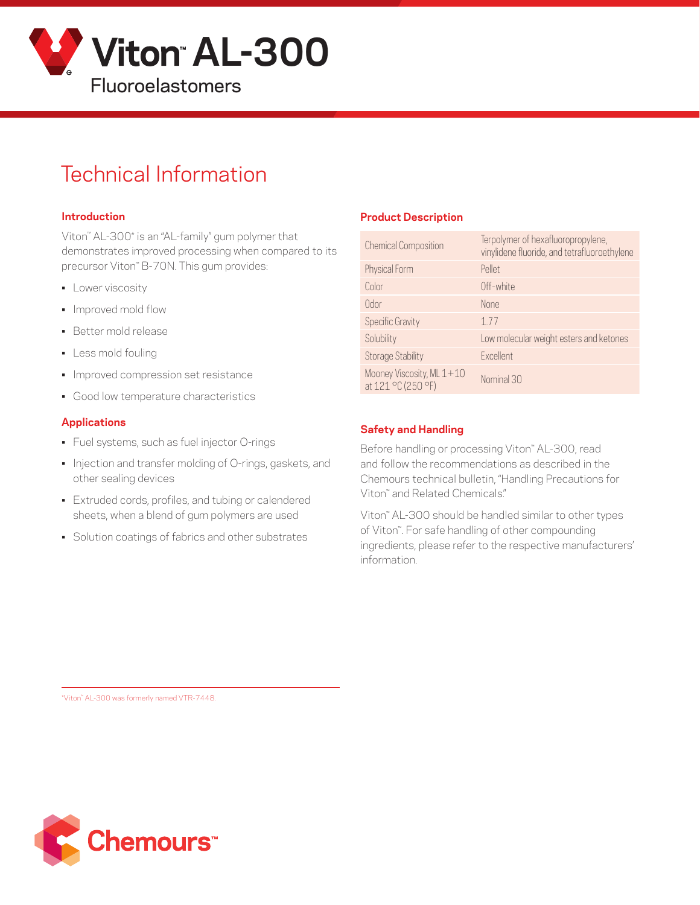

# Technical Information

#### **Introduction**

Viton™ AL-300\* is an "AL-family" gum polymer that demonstrates improved processing when compared to its precursor Viton™ B-70N. This gum provides:

- **•** Lower viscosity
- Improved mold flow
- Better mold release
- Less mold fouling
- Improved compression set resistance
- Good low temperature characteristics

#### **Applications**

- Fuel systems, such as fuel injector O-rings
- Injection and transfer molding of O-rings, gaskets, and other sealing devices
- Extruded cords, profiles, and tubing or calendered sheets, when a blend of gum polymers are used
- Solution coatings of fabrics and other substrates

#### **Product Description**

| <b>Chemical Composition</b>                     | Terpolymer of hexafluoropropylene,<br>vinylidene fluoride, and tetrafluoroethylene |
|-------------------------------------------------|------------------------------------------------------------------------------------|
| Physical Form                                   | Pellet                                                                             |
| Color                                           | Off-white                                                                          |
| Odor                                            | <b>None</b>                                                                        |
| <b>Specific Gravity</b>                         | 177                                                                                |
| Solubility                                      | Low molecular weight esters and ketones                                            |
| <b>Storage Stability</b>                        | Excellent                                                                          |
| Mooney Viscosity, ML 1+10<br>at 121 °C (250 °F) | Nominal 30                                                                         |

#### **Safety and Handling**

Before handling or processing Viton™ AL-300, read and follow the recommendations as described in the Chemours technical bulletin, "Handling Precautions for Viton™ and Related Chemicals."

Viton™ AL-300 should be handled similar to other types of Viton™. For safe handling of other compounding ingredients, please refer to the respective manufacturers' information.

\*Viton™ AL-300 was formerly named VTR-7448.

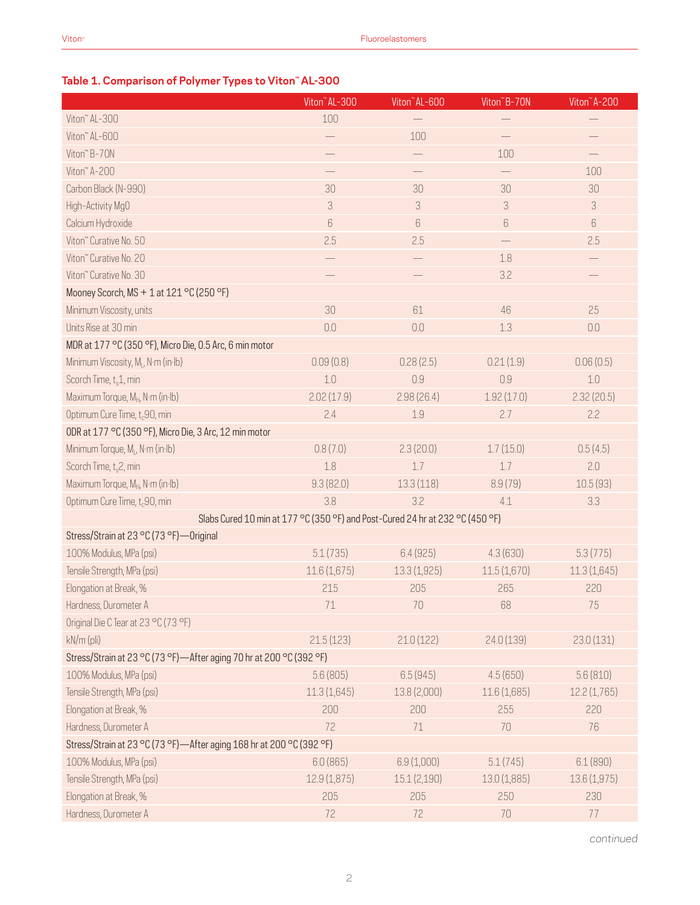### **Table 1. Comparison of Polymer Types to Viton™ AL-300**

|                                                                               | Viton" AL-300 | Viton" AL-600            | Viton <sup>"</sup> B-70N        | Viton" A-200 |
|-------------------------------------------------------------------------------|---------------|--------------------------|---------------------------------|--------------|
| Viton" AL-300                                                                 | 100           |                          |                                 |              |
| Viton" AL-600                                                                 |               | 100                      |                                 |              |
| Viton" B-70N                                                                  |               | $\overline{\phantom{0}}$ | 100                             |              |
| Viton" A-200                                                                  |               |                          |                                 | 100          |
| Carbon Black (N-990)                                                          | 30            | 30                       | 30                              | 30           |
| High-Activity MgO                                                             | 3             | $\mathcal S$             | $\ensuremath{\mathsf{3}}$       | 3            |
| Calcium Hydroxide                                                             | 6             | 6                        | $\begin{matrix} 6 \end{matrix}$ | $6\,$        |
| Viton" Curative No. 50                                                        | 2.5           | 2.5                      |                                 | 2.5          |
| Viton" Curative No. 20                                                        |               |                          | 1.8                             |              |
| Viton" Curative No. 30                                                        |               |                          | 3.2                             |              |
| Mooney Scorch, MS + 1 at 121 °C (250 °F)                                      |               |                          |                                 |              |
| Minimum Viscosity, units                                                      | 30            | 61                       | 46                              | 25           |
| Units Rise at 30 min                                                          | 0.0           | 0.0                      | 1.3                             | 0.0          |
| MDR at 177 °C (350 °F), Micro Die, 0.5 Arc, 6 min motor                       |               |                          |                                 |              |
| Minimum Viscosity, M <sub>i</sub> , N·m (in·lb)                               | 0.09(0.8)     | 0.28(2.5)                | 0.21(1.9)                       | 0.06(0.5)    |
| Scorch Time, t <sub>s</sub> 1, min                                            | 1.0           | 0.9                      | 0.9                             | $1.0\,$      |
| Maximum Torque, M <sub>H</sub> , N·m (in·lb)                                  | 2.02(17.9)    | 2.98(26.4)               | 1.92(17.0)                      | 2.32(20.5)   |
| Optimum Cure Time, t <sub>c</sub> 90, min                                     | 2.4           | 1.9                      | 2.7                             | 2.2          |
| ODR at 177 °C (350 °F), Micro Die, 3 Arc, 12 min motor                        |               |                          |                                 |              |
| Minimum Torque, ML, N·m (in·lb)                                               | 0.8(7.0)      | 2.3(20.0)                | 1.7(15.0)                       | 0.5(4.5)     |
| Scorch Time, t <sub>s</sub> 2, min                                            | 1.8           | 1.7                      | 1.7                             | 2.0          |
| Maximum Torque, M <sub>H</sub> , N·m (in·lb)                                  | 9.3(82.0)     | 13.3(118)                | 8.9(79)                         | 10.5(93)     |
| Optimum Cure Time, t <sub>c</sub> 90, min                                     | 3.8           | 3.2                      | 4.1                             | 3.3          |
| Slabs Cured 10 min at 177 °C (350 °F) and Post-Cured 24 hr at 232 °C (450 °F) |               |                          |                                 |              |
| Stress/Strain at 23 °C (73 °F) — Original                                     |               |                          |                                 |              |
| 100% Modulus, MPa (psi)                                                       | 5.1(735)      | 6.4(925)                 | 4.3(630)                        | 5.3(775)     |
| Tensile Strength, MPa (psi)                                                   | 11.6(1,675)   | 13.3(1,925)              | 11.5(1,670)                     | 11.3(1,645)  |
| Elongation at Break, %                                                        | 215           | 205                      | 265                             | 220          |
| Hardness, Durometer A                                                         | $71\,$        | $70\,$                   | 68                              | $75\,$       |
| Original Die C Tear at 23 °C (73 °F)                                          |               |                          |                                 |              |
| kN/m (pli)                                                                    | 21.5(123)     | 21.0(122)                | 24.0 (139)                      | 23.0 (131)   |
| Stress/Strain at 23 °C (73 °F)-After aging 70 hr at 200 °C (392 °F)           |               |                          |                                 |              |
| 100% Modulus, MPa (psi)                                                       | 5.6(805)      | 6.5(945)                 | 4.5(650)                        | 5.6(810)     |
| Tensile Strength, MPa (psi)                                                   | 11.3(1,645)   | 13.8 (2,000)             | 11.6(1,685)                     | 12.2(1,765)  |
| Elongation at Break, %                                                        | 200           | 200                      | 255                             | 220          |
| Hardness, Durometer A                                                         | 72            | 71                       | 70                              | 76           |
| Stress/Strain at 23 °C (73 °F) - After aging 168 hr at 200 °C (392 °F)        |               |                          |                                 |              |
| 100% Modulus, MPa (psi)                                                       | 6.0(865)      | 6.9 (1,000)              | 5.1(745)                        | 6.1(890)     |
| Tensile Strength, MPa (psi)                                                   | 12.9 (1,875)  | 15.1(2,190)              | 13.0 (1,885)                    | 13.6 (1,975) |
| Elongation at Break, %                                                        | 205           | 205                      | 250                             | 230          |
| Hardness, Durometer A                                                         | 72            | 72                       | 70                              | 77           |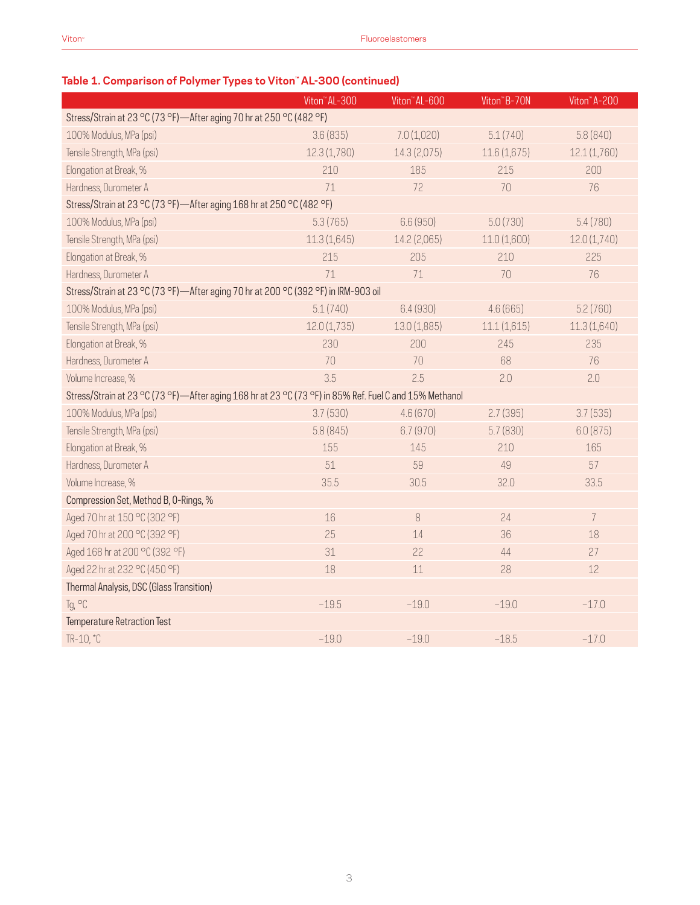|                                                                                                        | Viton" AL-300 | Viton" AL-600 | Viton"B-70N  | Viton" A-200   |  |  |  |  |  |
|--------------------------------------------------------------------------------------------------------|---------------|---------------|--------------|----------------|--|--|--|--|--|
| Stress/Strain at 23 °C (73 °F)-After aging 70 hr at 250 °C (482 °F)                                    |               |               |              |                |  |  |  |  |  |
| 100% Modulus, MPa (psi)                                                                                | 3.6(835)      | 7.0(1,020)    | 5.1(740)     | 5.8 (840)      |  |  |  |  |  |
| Tensile Strength, MPa (psi)                                                                            | 12.3(1,780)   | 14.3 (2,075)  | 11.6(1,675)  | 12.1 (1,760)   |  |  |  |  |  |
| Elongation at Break, %                                                                                 | 210           | 185           | 215          | 200            |  |  |  |  |  |
| Hardness, Durometer A                                                                                  | 71            | 72            | 70           | 76             |  |  |  |  |  |
| Stress/Strain at 23 °C (73 °F)-After aging 168 hr at 250 °C (482 °F)                                   |               |               |              |                |  |  |  |  |  |
| 100% Modulus, MPa (psi)                                                                                | 5.3(765)      | 6.6(950)      | 5.0(730)     | 5.4(780)       |  |  |  |  |  |
| Tensile Strength, MPa (psi)                                                                            | 11.3(1,645)   | 14.2 (2,065)  | 11.0 (1,600) | 12.0(1,740)    |  |  |  |  |  |
| Elongation at Break, %                                                                                 | 215           | 205           | 210          | 225            |  |  |  |  |  |
| Hardness, Durometer A                                                                                  | 71            | 71            | 70           | 76             |  |  |  |  |  |
| Stress/Strain at 23 °C (73 °F)-After aging 70 hr at 200 °C (392 °F) in IRM-903 oil                     |               |               |              |                |  |  |  |  |  |
| 100% Modulus, MPa (psi)                                                                                | 5.1(740)      | 6.4(930)      | 4.6(665)     | 5.2(760)       |  |  |  |  |  |
| Tensile Strength, MPa (psi)                                                                            | 12.0(1,735)   | 13.0 (1,885)  | 11.1(1,615)  | 11.3(1,640)    |  |  |  |  |  |
| Elongation at Break, %                                                                                 | 230           | 200           | 245          | 235            |  |  |  |  |  |
| Hardness, Durometer A                                                                                  | 70            | 70            | 68           | 76             |  |  |  |  |  |
| Volume Increase, %                                                                                     | 3.5           | 2.5           | 2.0          | 2.0            |  |  |  |  |  |
| Stress/Strain at 23 °C (73 °F)-After aging 168 hr at 23 °C (73 °F) in 85% Ref. Fuel C and 15% Methanol |               |               |              |                |  |  |  |  |  |
| 100% Modulus, MPa (psi)                                                                                | 3.7(530)      | 4.6(670)      | 2.7(395)     | 3.7(535)       |  |  |  |  |  |
| Tensile Strength, MPa (psi)                                                                            | 5.8(845)      | 6.7(970)      | 5.7(830)     | 6.0(875)       |  |  |  |  |  |
| Elongation at Break, %                                                                                 | 155           | 145           | 210          | 165            |  |  |  |  |  |
| Hardness, Durometer A                                                                                  | 51            | 59            | 49           | 57             |  |  |  |  |  |
| Volume Increase, %                                                                                     | 35.5          | 30.5          | 32.0         | 33.5           |  |  |  |  |  |
| Compression Set, Method B, O-Rings, %                                                                  |               |               |              |                |  |  |  |  |  |
| Aged 70 hr at 150 °C (302 °F)                                                                          | 16            | 8             | 24           | $\overline{7}$ |  |  |  |  |  |
| Aged 70 hr at 200 °C (392 °F)                                                                          | 25            | 14            | 36           | 18             |  |  |  |  |  |
| Aged 168 hr at 200 °C (392 °F)                                                                         | 31            | 22            | 44           | 27             |  |  |  |  |  |
| Aged 22 hr at 232 °C (450 °F)                                                                          | 18            | 11            | 28           | 12             |  |  |  |  |  |
| Thermal Analysis, DSC (Glass Transition)                                                               |               |               |              |                |  |  |  |  |  |
| Tg, °C                                                                                                 | $-19.5$       | $-19.0$       | $-19.0$      | $-17.0$        |  |  |  |  |  |
| <b>Temperature Retraction Test</b>                                                                     |               |               |              |                |  |  |  |  |  |
| TR-10, *C                                                                                              | $-19.0$       | $-19.0$       | $-18.5$      | $-17.0$        |  |  |  |  |  |

### **Table 1. Comparison of Polymer Types to Viton™ AL-300 (continued)**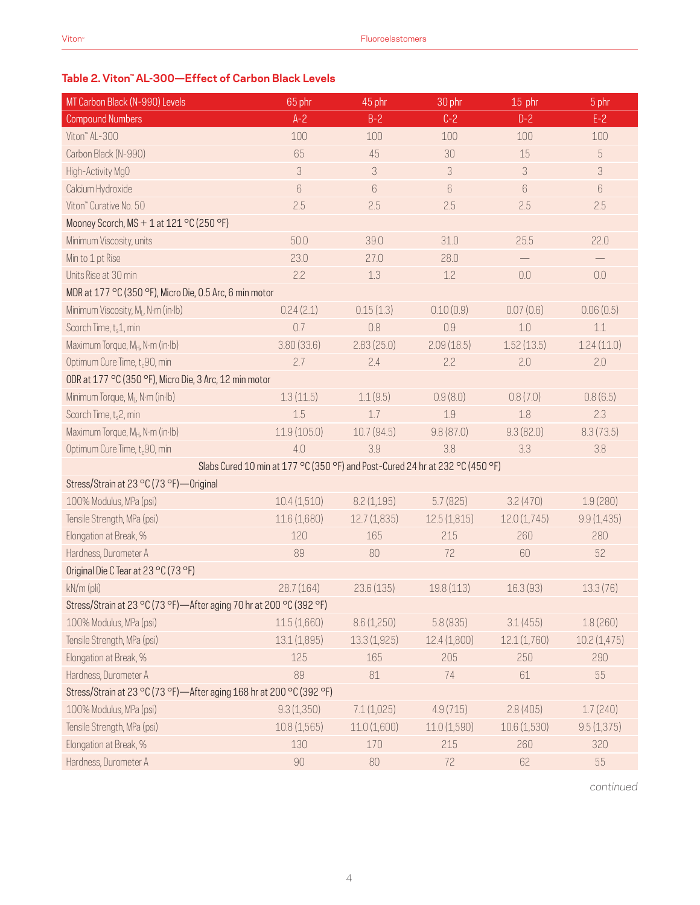### **Table 2. Viton™ AL-300—Effect of Carbon Black Levels**

| MT Carbon Black (N-990) Levels                                       | 65 phr       | 45 phr      | 30 phr                                                                        | 15 phr            | $\frac{5}{2}$ phr |
|----------------------------------------------------------------------|--------------|-------------|-------------------------------------------------------------------------------|-------------------|-------------------|
| <b>Compound Numbers</b>                                              | $A - 2$      | $B-2$       | $C-2$                                                                         | $D-2$             | $E-2$             |
| Viton" AL-300                                                        | 100          | 100         | 100                                                                           | 100               | 100               |
| Carbon Black (N-990)                                                 | 65           | 45          | 30                                                                            | 15                | 5                 |
| High-Activity MgO                                                    | 3            | 3           | 3                                                                             | 3                 | $\sqrt{3}$        |
| Calcium Hydroxide                                                    | $6\,$        | 6           | 6                                                                             | $\boldsymbol{6}$  | $6\,$             |
| Viton" Curative No. 50                                               | 2.5          | 2.5         | 2.5                                                                           | 2.5               | 2.5               |
| Mooney Scorch, MS + 1 at 121 °C (250 °F)                             |              |             |                                                                               |                   |                   |
| Minimum Viscosity, units                                             | 50.0         | 39.0        | 31.0                                                                          | 25.5              | 22.0              |
| Min to 1 pt Rise                                                     | 23.0         | 27.0        | 28.0                                                                          | $\qquad \qquad -$ | $\qquad \qquad -$ |
| Units Rise at 30 min                                                 | 2.2          | 1.3         | 1.2                                                                           | 0.0               | 0.0               |
| MDR at 177 °C (350 °F), Micro Die, 0.5 Arc, 6 min motor              |              |             |                                                                               |                   |                   |
| Minimum Viscosity, M <sub>i</sub> , N·m (in·lb)                      | 0.24(2.1)    | 0.15(1.3)   | 0.10(0.9)                                                                     | 0.07(0.6)         | 0.06(0.5)         |
| Scorch Time, t <sub>s</sub> 1, min                                   | 0.7          | 0.8         | 0.9                                                                           | 1.0               | 1.1               |
| Maximum Torque, M <sub>H</sub> , N·m (in·lb)                         | 3.80(33.6)   | 2.83(25.0)  | 2.09(18.5)                                                                    | 1.52(13.5)        | 1.24(11.0)        |
| Optimum Cure Time, t <sub>c</sub> 90, min                            | 2.7          | 2.4         | 2.2                                                                           | 2.0               | 2.0               |
| ODR at 177 °C (350 °F), Micro Die, 3 Arc, 12 min motor               |              |             |                                                                               |                   |                   |
| Minimum Torque, ML, N·m (in·lb)                                      | 1.3(11.5)    | 1.1(9.5)    | 0.9(8.0)                                                                      | 0.8(7.0)          | 0.8(6.5)          |
| Scorch Time, t <sub>s</sub> 2, min                                   | 1.5          | 1.7         | 1.9                                                                           | 1.8               | 2.3               |
| Maximum Torque, M <sub>H</sub> , N·m (in·lb)                         | 11.9(105.0)  | 10.7 (94.5) | 9.8(87.0)                                                                     | 9.3(82.0)         | 8.3(73.5)         |
| Optimum Cure Time, t <sub>c</sub> 90, min                            | 4.0          | 3.9         | 3.8                                                                           | 3.3               | 3.8               |
|                                                                      |              |             | Slabs Cured 10 min at 177 °C (350 °F) and Post-Cured 24 hr at 232 °C (450 °F) |                   |                   |
| Stress/Strain at 23 °C (73 °F) — Original                            |              |             |                                                                               |                   |                   |
| 100% Modulus, MPa (psi)                                              | 10.4(1,510)  | 8.2(1,195)  | 5.7(825)                                                                      | 3.2(470)          | 1.9(280)          |
| Tensile Strength, MPa (psi)                                          | 11.6 (1,680) | 12.7(1,835) | 12.5(1,815)                                                                   | 12.0(1,745)       | 9.9(1,435)        |
| Elongation at Break, %                                               | 120          | 165         | 215                                                                           | 260               | 280               |
| Hardness, Durometer A                                                | 89           | 80          | 72                                                                            | 60                | 52                |
| Original Die C Tear at 23 °C (73 °F)                                 |              |             |                                                                               |                   |                   |
| kN/m (pli)                                                           | 28.7(164)    | 23.6(135)   | 19.8 (113)                                                                    | 16.3 (93)         | 13.3(76)          |
| Stress/Strain at 23 °C (73 °F)-After aging 70 hr at 200 °C (392 °F)  |              |             |                                                                               |                   |                   |
| 100% Modulus, MPa (psi)                                              | 11.5(1,660)  | 8.6(1,250)  | 5.8(835)                                                                      | 3.1(455)          | 1.8(260)          |
| Tensile Strength, MPa (psi)                                          | 13.1(1,895)  | 13.3(1,925) | 12.4 (1,800)                                                                  | 12.1(1,760)       | 10.2(1,475)       |
| Elongation at Break, %                                               | 125          | 165         | 205                                                                           | 250               | 290               |
| Hardness, Durometer A                                                | 89           | 81          | 74                                                                            | 61                | 55                |
| Stress/Strain at 23 °C (73 °F)-After aging 168 hr at 200 °C (392 °F) |              |             |                                                                               |                   |                   |
| 100% Modulus, MPa (psi)                                              | 9.3(1,350)   | 7.1(1,025)  | 4.9(715)                                                                      | 2.8(405)          | 1.7(240)          |
| Tensile Strength, MPa (psi)                                          | 10.8(1,565)  | 11.0(1,600) | 11.0(1,590)                                                                   | 10.6(1,530)       | 9.5(1,375)        |
| Elongation at Break, %                                               | 130          | 170         | 215                                                                           | 260               | 320               |
| Hardness, Durometer A                                                | 90           | 80          | 72                                                                            | 62                | 55                |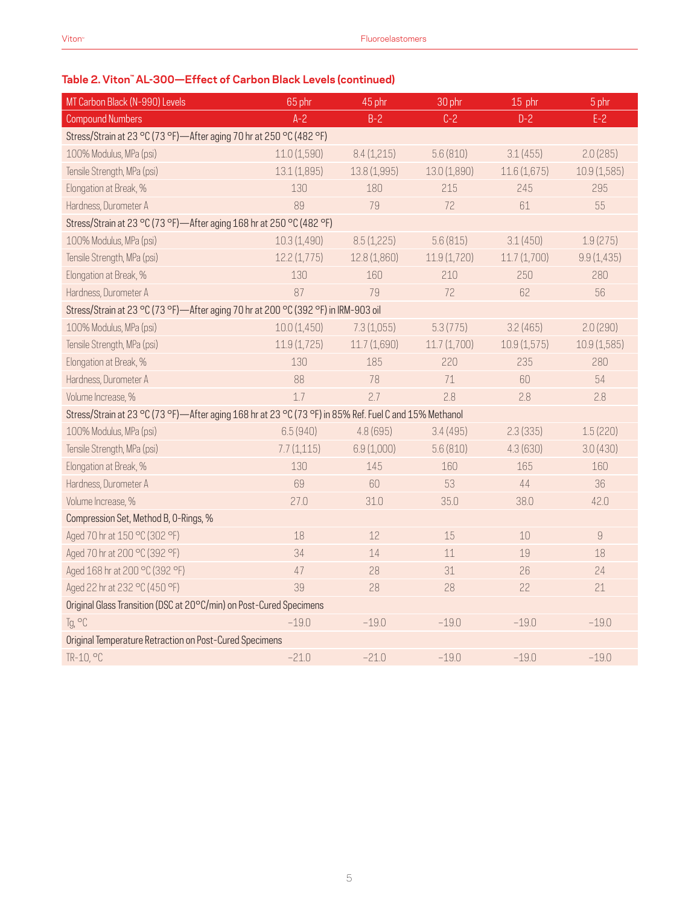| MT Carbon Black (N-990) Levels                                                                         | 65 phr       | 30 phr       | 15 phr       | 5 phr       |             |
|--------------------------------------------------------------------------------------------------------|--------------|--------------|--------------|-------------|-------------|
| <b>Compound Numbers</b>                                                                                | $A - 2$      | $B-2$        | $C-2$        | $D-2$       | $E-2$       |
| Stress/Strain at 23 °C (73 °F)-After aging 70 hr at 250 °C (482 °F)                                    |              |              |              |             |             |
| 100% Modulus, MPa (psi)                                                                                | 11.0(1,590)  | 8.4(1,215)   | 5.6(810)     | 3.1(455)    | 2.0(285)    |
| Tensile Strength, MPa (psi)                                                                            | 13.1(1,895)  | 13.8 (1,995) | 13.0 (1,890) | 11.6(1,675) | 10.9(1,585) |
| Elongation at Break, %                                                                                 | 130          | 180          | 215          | 245         | 295         |
| Hardness, Durometer A                                                                                  | 89           | 79           | 72           | 61          | 55          |
| Stress/Strain at 23 °C (73 °F)-After aging 168 hr at 250 °C (482 °F)                                   |              |              |              |             |             |
| 100% Modulus, MPa (psi)                                                                                | 10.3 (1,490) | 8.5(1,225)   | 5.6(815)     | 3.1(450)    | 1.9(275)    |
| Tensile Strength, MPa (psi)                                                                            | 12.2(1,775)  | 12.8 (1,860) | 11.9(1,720)  | 11.7(1,700) | 9.9(1, 435) |
| Elongation at Break, %                                                                                 | 130          | 160          | 210          | 250         | 280         |
| Hardness, Durometer A                                                                                  | 87           | 79           | 72           | 62          | 56          |
| Stress/Strain at 23 °C (73 °F)-After aging 70 hr at 200 °C (392 °F) in IRM-903 oil                     |              |              |              |             |             |
| 100% Modulus, MPa (psi)                                                                                | 10.0(1,450)  | 7.3(1,055)   | 5.3(775)     | 3.2(465)    | 2.0(290)    |
| Tensile Strength, MPa (psi)                                                                            | 11.9(1,725)  | 11.7 (1,690) | 11.7(1,700)  | 10.9(1,575) | 10.9(1,585) |
| Elongation at Break, %                                                                                 | 130          | 185          | 220          | 235         | 280         |
| Hardness, Durometer A                                                                                  | 88           | 78           | 71           | 60          | 54          |
| Volume Increase, %                                                                                     | 1.7          | 2.7          | 2.8          | 2.8         | 2.8         |
| Stress/Strain at 23 °C (73 °F)-After aging 168 hr at 23 °C (73 °F) in 85% Ref. Fuel C and 15% Methanol |              |              |              |             |             |
| 100% Modulus, MPa (psi)                                                                                | 6.5(940)     | 4.8 (695)    | 3.4(495)     | 2.3(335)    | 1.5(220)    |
| Tensile Strength, MPa (psi)                                                                            | 7.7(1,115)   | 6.9(1,000)   | 5.6(810)     | 4.3(630)    | 3.0(430)    |
| Elongation at Break, %                                                                                 | 130          | 145          | 160          | 165         | 160         |
| Hardness, Durometer A                                                                                  | 69           | 60           | 53           | 44          | 36          |
| Volume Increase, %                                                                                     | 27.0         | 31.0         | 35.0         | 38.0        | 42.0        |
| Compression Set, Method B, O-Rings, %                                                                  |              |              |              |             |             |
| Aged 70 hr at 150 °C (302 °F)                                                                          | 18           | 12           | 15           | 10          | $\hbox{g}$  |
| Aged 70 hr at 200 °C (392 °F)                                                                          | 34           | 14           | 11           | 19          | 18          |
| Aged 168 hr at 200 °C (392 °F)                                                                         | 47           | 28           | 31           | 26          | 24          |
| Aged 22 hr at 232 °C (450 °F)                                                                          | 39           | 28           | 28           | 22          | 21          |
| Original Glass Transition (DSC at 20°C/min) on Post-Cured Specimens                                    |              |              |              |             |             |
| Tg, °C                                                                                                 | $-19.0$      | $-19.0$      | $-19.0$      | $-19.0$     | $-19.0$     |
| Original Temperature Retraction on Post-Cured Specimens                                                |              |              |              |             |             |
| TR-10, °C                                                                                              | $-21.0$      | $-21.0$      | $-19.0$      | $-19.0$     | $-19.0$     |

## **Table 2. Viton™ AL-300—Effect of Carbon Black Levels (continued)**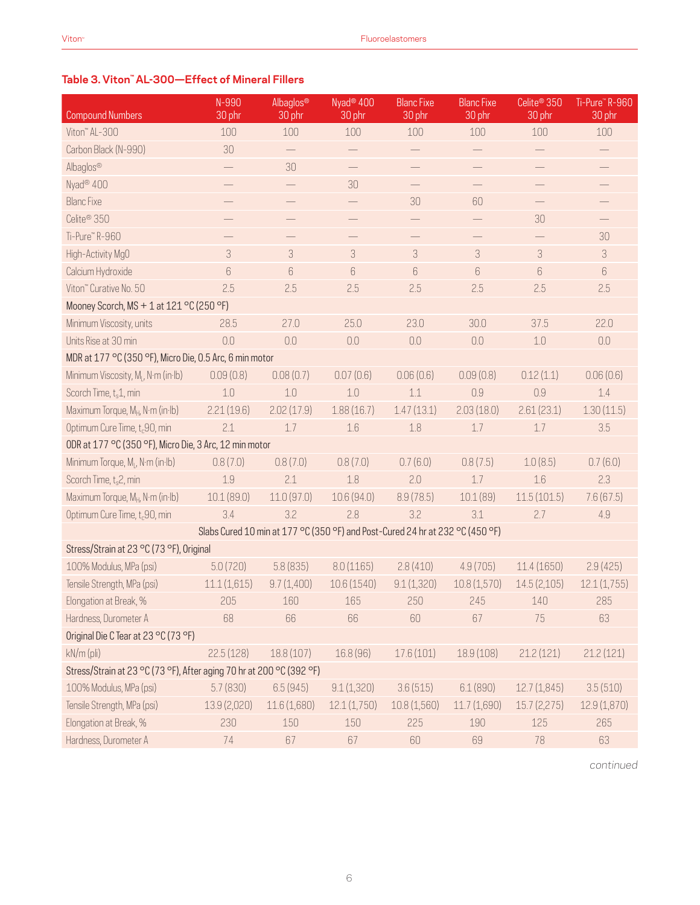### **Table 3. Viton™ AL-300—Effect of Mineral Fillers**

| <b>Compound Numbers</b>                                              | N-990<br>30 phr          | Albaglos®<br>30 phr      | Nyad <sup>®</sup> 400<br>30 phr                                               | <b>Blanc Fixe</b><br>30 phr | <b>Blanc Fixe</b><br>30 phr | Celite <sup>®</sup> 350<br>30 phr | Ti-Pure™R-960<br>30 phr  |
|----------------------------------------------------------------------|--------------------------|--------------------------|-------------------------------------------------------------------------------|-----------------------------|-----------------------------|-----------------------------------|--------------------------|
| Viton" AL-300                                                        | 100                      | 100                      | 100                                                                           | 100                         | 100                         | 100                               | 100                      |
| Carbon Black (N-990)                                                 | 30                       |                          |                                                                               | $\overline{\phantom{m}}$    |                             |                                   | $\overline{\phantom{0}}$ |
| Albaglos®                                                            | $\overline{\phantom{0}}$ | 30                       |                                                                               |                             |                             |                                   | $\overline{\phantom{0}}$ |
| Nyad <sup>®</sup> 400                                                |                          | $\overline{\phantom{0}}$ | 30                                                                            |                             | $\overline{\phantom{0}}$    |                                   |                          |
| <b>Blanc Fixe</b>                                                    |                          |                          |                                                                               | 30                          | 60                          |                                   | $\overline{\phantom{0}}$ |
| Celite <sup>®</sup> 350                                              |                          |                          |                                                                               |                             |                             | 30                                |                          |
| Ti-Pure™R-960                                                        |                          | $\overline{\phantom{0}}$ | $\overline{\phantom{0}}$                                                      | $\overline{\phantom{0}}$    |                             |                                   | 30                       |
| High-Activity MgO                                                    | 3                        | 3                        | $\sqrt{3}$                                                                    | 3                           | $\ensuremath{\mathsf{3}}$   | 3                                 | 3                        |
| Calcium Hydroxide                                                    | 6                        | $6\,$                    | $6\,$                                                                         | $6\,$                       | $6\,$                       | 6                                 | $6\,$                    |
| Viton" Curative No. 50                                               | 2.5                      | 2.5                      | 2.5                                                                           | 2.5                         | 2.5                         | 2.5                               | 2.5                      |
| Mooney Scorch, MS + 1 at 121 °C (250 °F)                             |                          |                          |                                                                               |                             |                             |                                   |                          |
| Minimum Viscosity, units                                             | 28.5                     | 27.0                     | 25.0                                                                          | 23.0                        | 30.0                        | 37.5                              | 22.0                     |
| Units Rise at 30 min                                                 | 0.0                      | 0.0                      | 0.0                                                                           | 0.0                         | 0.0                         | $1.0\,$                           | 0.0                      |
| MDR at 177 °C (350 °F), Micro Die, 0.5 Arc, 6 min motor              |                          |                          |                                                                               |                             |                             |                                   |                          |
| Minimum Viscosity, M <sub>i</sub> , N·m (in·lb)                      | 0.09(0.8)                | 0.08(0.7)                | 0.07(0.6)                                                                     | 0.06(0.6)                   | 0.09(0.8)                   | 0.12(1.1)                         | 0.06(0.6)                |
| Scorch Time, t <sub>s</sub> 1, min                                   | 1.0                      | $1.0\,$                  | $1.0\,$                                                                       | 1.1                         | 0.9                         | 0.9                               | $1.4\,$                  |
| Maximum Torque, M <sub>H</sub> , N·m (in·lb)                         | 2.21(19.6)               | 2.02(17.9)               | 1.88(16.7)                                                                    | 1.47(13.1)                  | 2.03(18.0)                  | 2.61(23.1)                        | 1.30(11.5)               |
| Optimum Cure Time, t <sub>c</sub> 90, min                            | 2.1                      | 1.7                      | 1.6                                                                           | 1.8                         | 1.7                         | 1.7                               | 3.5                      |
| ODR at 177 °C (350 °F), Micro Die, 3 Arc, 12 min motor               |                          |                          |                                                                               |                             |                             |                                   |                          |
| Minimum Torque, M <sub>I</sub> , N·m (in·lb)                         | 0.8(7.0)                 | 0.8(7.0)                 | 0.8(7.0)                                                                      | 0.7(6.0)                    | 0.8(7.5)                    | 1.0(8.5)                          | 0.7(6.0)                 |
| Scorch Time, t <sub>s</sub> 2, min                                   | 1.9                      | 2.1                      | 1.8                                                                           | 2.0                         | 1.7                         | 1.6                               | 2.3                      |
| Maximum Torque, M <sub>H</sub> , N·m (in·lb)                         | 10.1 (89.0)              | 11.0(97.0)               | 10.6 (94.0)                                                                   | 8.9(78.5)                   | 10.1(89)                    | 11.5(101.5)                       | 7.6(67.5)                |
| Optimum Cure Time, t <sub>c</sub> 90, min                            | 3.4                      | 3.2                      | 2.8                                                                           | 3.2                         | 3.1                         | 2.7                               | 4.9                      |
|                                                                      |                          |                          | Slabs Cured 10 min at 177 °C (350 °F) and Post-Cured 24 hr at 232 °C (450 °F) |                             |                             |                                   |                          |
| Stress/Strain at 23 °C (73 °F), Original                             |                          |                          |                                                                               |                             |                             |                                   |                          |
| 100% Modulus, MPa (psi)                                              | 5.0(720)                 | 5.8(835)                 | 8.0(1165)                                                                     | 2.8(410)                    | 4.9(705)                    | 11.4(1650)                        | 2.9(425)                 |
| Tensile Strength, MPa (psi)                                          | 11.1(1,615)              | 9.7(1,400)               | 10.6 (1540)                                                                   | 9.1(1,320)                  | 10.8(1,570)                 | 14.5(2,105)                       | 12.1(1,755)              |
| Elongation at Break, %                                               | 205                      | 160                      | 165                                                                           | 250                         | 245                         | 140                               | 285                      |
| Hardness, Durometer A                                                | 68                       | 66                       | 66                                                                            | 60                          | 67                          | 75                                | 63                       |
| Original Die C Tear at 23 °C (73 °F)                                 |                          |                          |                                                                               |                             |                             |                                   |                          |
| kN/m (pli)                                                           | 22.5(128)                | 18.8 (107)               | 16.8 (96)                                                                     | 17.6(101)                   | 18.9 (108)                  | 21.2(121)                         | 21.2(121)                |
| Stress/Strain at 23 °C (73 °F), After aging 70 hr at 200 °C (392 °F) |                          |                          |                                                                               |                             |                             |                                   |                          |
| 100% Modulus, MPa (psi)                                              | 5.7(830)                 | 6.5(945)                 | 9.1(1,320)                                                                    | 3.6(515)                    | 6.1(890)                    | 12.7(1,845)                       | 3.5(510)                 |
| Tensile Strength, MPa (psi)                                          | 13.9 (2,020)             | 11.6 (1,680)             | 12.1(1,750)                                                                   | 10.8(1,560)                 | 11.7 (1,690)                | 15.7(2,275)                       | 12.9 (1,870)             |
| Elongation at Break, %                                               | 230                      | 150                      | 150                                                                           | 225                         | 190                         | 125                               | 265                      |
| Hardness, Durometer A                                                | 74                       | 67                       | 67                                                                            | 60                          | 69                          | 78                                | 63                       |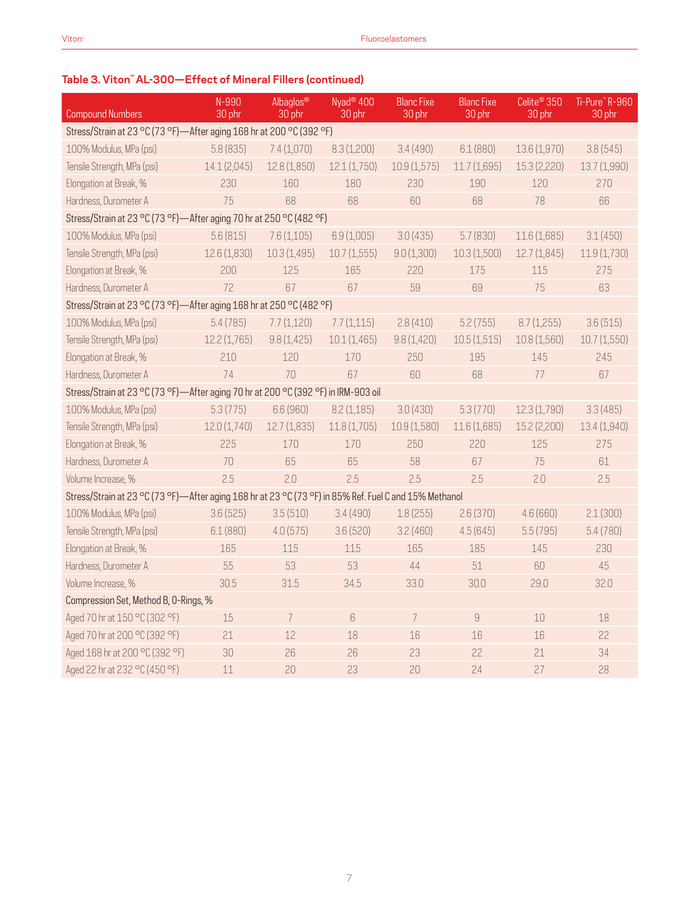### **Table 3. Viton™ AL-300—Effect of Mineral Fillers (continued)**

| <b>Compound Numbers</b>                                                                                | N-990<br>30 phr | Albaglos <sup>®</sup><br>30 phr                                      | Nyad <sup>®</sup> 400<br>30 phr | <b>Blanc Fixe</b><br>30 phr | <b>Blanc Fixe</b><br>30 phr | Celite <sup>®</sup> 350<br>30 phr | Ti-Pure™R-960<br>30 phr |  |  |
|--------------------------------------------------------------------------------------------------------|-----------------|----------------------------------------------------------------------|---------------------------------|-----------------------------|-----------------------------|-----------------------------------|-------------------------|--|--|
|                                                                                                        |                 | Stress/Strain at 23 °C (73 °F)-After aging 168 hr at 200 °C (392 °F) |                                 |                             |                             |                                   |                         |  |  |
| 100% Modulus, MPa (psi)                                                                                | 5.8(835)        | 7.4(1,070)                                                           | 8.3(1,200)                      | 3.4(490)                    | 6.1(880)                    | 13.6 (1,970)                      | 3.8(545)                |  |  |
| Tensile Strength, MPa (psi)                                                                            | 14.1 (2,045)    | 12.8 (1,850)                                                         | 12.1(1,750)                     | 10.9(1,575)                 | 11.7(1,695)                 | 15.3 (2,220)                      | 13.7 (1,990)            |  |  |
| Elongation at Break, %                                                                                 | 230             | 160                                                                  | 180                             | 230                         | 190                         | 120                               | 270                     |  |  |
| Hardness, Durometer A                                                                                  | 75              | 68                                                                   | 68                              | 60                          | 68                          | 78                                | 66                      |  |  |
| Stress/Strain at 23 °C (73 °F)-After aging 70 hr at 250 °C (482 °F)                                    |                 |                                                                      |                                 |                             |                             |                                   |                         |  |  |
| 100% Modulus, MPa (psi)                                                                                | 5.6(815)        | 7.6(1,105)                                                           | 6.9(1,005)                      | 3.0(435)                    | 5.7(830)                    | 11.6 (1,685)                      | 3.1(450)                |  |  |
| Tensile Strength, MPa (psi)                                                                            | 12.6 (1,830)    | 10.3(1,495)                                                          | 10.7(1,555)                     | 9.0(1,300)                  | 10.3(1,500)                 | 12.7(1,845)                       | 11.9(1,730)             |  |  |
| Elongation at Break, %                                                                                 | 200             | 125                                                                  | 165                             | 220                         | 175                         | 115                               | 275                     |  |  |
| Hardness, Durometer A                                                                                  | 72              | 67                                                                   | 67                              | 59                          | 69                          | 75                                | 63                      |  |  |
| Stress/Strain at 23 °C (73 °F)-After aging 168 hr at 250 °C (482 °F)                                   |                 |                                                                      |                                 |                             |                             |                                   |                         |  |  |
| 100% Modulus, MPa (psi)                                                                                | 5.4(785)        | 7.7(1,120)                                                           | 7.7(1,115)                      | 2.8(410)                    | 5.2(755)                    | 8.7(1,255)                        | 3.6(515)                |  |  |
| Tensile Strength, MPa (psi)                                                                            | 12.2 (1,765)    | 9.8(1,425)                                                           | 10.1(1,465)                     | 9.8(1,420)                  | 10.5(1,515)                 | 10.8 (1,560)                      | 10.7(1,550)             |  |  |
| Elongation at Break, %                                                                                 | 210             | 120                                                                  | 170                             | 250                         | 195                         | 145                               | 245                     |  |  |
| Hardness, Durometer A                                                                                  | 74              | 70                                                                   | 67                              | 60                          | 68                          | 77                                | 67                      |  |  |
| Stress/Strain at 23 °C (73 °F)-After aging 70 hr at 200 °C (392 °F) in IRM-903 oil                     |                 |                                                                      |                                 |                             |                             |                                   |                         |  |  |
| 100% Modulus, MPa (psi)                                                                                | 5.3(775)        | 6.6 (960)                                                            | 8.2(1,185)                      | 3.0(430)                    | 5.3(770)                    | 12.3(1,790)                       | 3.3(485)                |  |  |
| Tensile Strength, MPa (psi)                                                                            | 12.0 (1,740)    | 12.7(1,835)                                                          | 11.8 (1,705)                    | 10.9 (1,580)                | 11.6 (1,685)                | 15.2 (2,200)                      | 13.4 (1,940)            |  |  |
| Elongation at Break, %                                                                                 | 225             | 170                                                                  | 170                             | 250                         | 220                         | 125                               | 275                     |  |  |
| Hardness, Durometer A                                                                                  | 70              | 65                                                                   | 65                              | 58                          | 67                          | 75                                | 61                      |  |  |
| Volume Increase, %                                                                                     | 2.5             | 2.0                                                                  | 2.5                             | 2.5                         | 2.5                         | 2.0                               | 2.5                     |  |  |
| Stress/Strain at 23 °C (73 °F)-After aging 168 hr at 23 °C (73 °F) in 85% Ref. Fuel C and 15% Methanol |                 |                                                                      |                                 |                             |                             |                                   |                         |  |  |
| 100% Modulus, MPa (psi)                                                                                | 3.6(525)        | 3.5(510)                                                             | 3.4(490)                        | 1.8(255)                    | 2.6(370)                    | 4.6(660)                          | 2.1(300)                |  |  |
| Tensile Strength, MPa (psi)                                                                            | 6.1(880)        | 4.0(575)                                                             | 3.6(520)                        | 3.2(460)                    | 4.5(645)                    | 5.5(795)                          | 5.4 (780)               |  |  |
| Elongation at Break, %                                                                                 | 165             | 115                                                                  | 115                             | 165                         | 185                         | 145                               | 230                     |  |  |
| Hardness, Durometer A                                                                                  | 55              | 53                                                                   | 53                              | 44                          | 51                          | 60                                | 45                      |  |  |
| Volume Increase, %                                                                                     | 30.5            | 31.5                                                                 | 34.5                            | 33.0                        | 30.0                        | 29.0                              | 32.0                    |  |  |
| Compression Set, Method B, O-Rings, %                                                                  |                 |                                                                      |                                 |                             |                             |                                   |                         |  |  |
| Aged 70 hr at 150 °C (302 °F)                                                                          | 15              | $\overline{7}$                                                       | $6\,$                           | $\overline{7}$              | $\hbox{g}$                  | 10                                | 18                      |  |  |
| Aged 70 hr at 200 °C (392 °F)                                                                          | 21              | 12                                                                   | 18                              | 16                          | 16                          | 16                                | 22                      |  |  |
| Aged 168 hr at 200 °C (392 °F)                                                                         | 30              | 26                                                                   | 26                              | 23                          | 22                          | 21                                | 34                      |  |  |
| Aged 22 hr at 232 °C (450 °F)                                                                          | 11              | 20                                                                   | 23                              | 20                          | 24                          | 27                                | 28                      |  |  |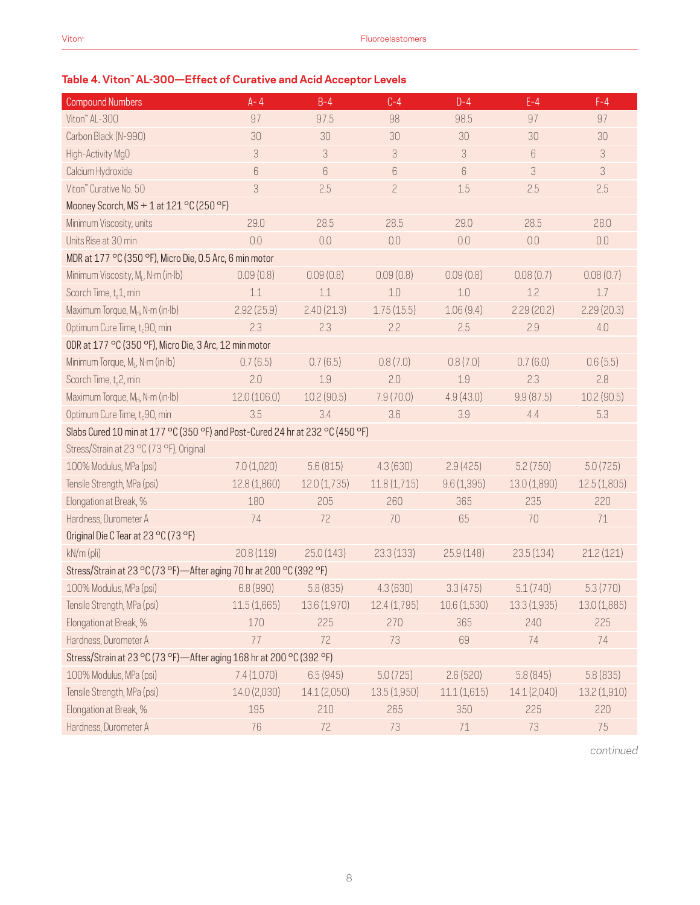### **Table 4. Viton™ AL-300—Effect of Curative and Acid Acceptor Levels**

| <b>Compound Numbers</b>                                                       | $A - 4$      | $B-4$        | $C-4$          | $D-4$        | $E-4$        | $F-4$        |
|-------------------------------------------------------------------------------|--------------|--------------|----------------|--------------|--------------|--------------|
| Viton" AL-300                                                                 | 97           | 97.5         | 98             | 98.5         | 97           | 97           |
| Carbon Black (N-990)                                                          | 30           | 30           | 30             | 30           | 30           | 30           |
| High-Activity MgO                                                             | 3            | 3            | 3              | 3            | 6            | 3            |
| Calcium Hydroxide                                                             | $6\,$        | $6\,$        | 6              | $6\,$        | 3            | $\sqrt{3}$   |
| Viton" Curative No. 50                                                        | 3            | 2.5          | $\overline{c}$ | 1.5          | 2.5          | 2.5          |
| Mooney Scorch, $MS + 1$ at $121 °C$ (250 °F)                                  |              |              |                |              |              |              |
| Minimum Viscosity, units                                                      | 29.0         | 28.5         | 28.5           | 29.0         | 28.5         | 28.0         |
| Units Rise at 30 min                                                          | 0.0          | 0.0          | 0.0            | 0.0          | 0.0          | 0.0          |
| MDR at 177 °C (350 °F), Micro Die, 0.5 Arc, 6 min motor                       |              |              |                |              |              |              |
| Minimum Viscosity, M <sub>i</sub> , N·m (in·lb)                               | 0.09(0.8)    | 0.09(0.8)    | 0.09(0.8)      | 0.09(0.8)    | 0.08(0.7)    | 0.08(0.7)    |
| Scorch Time, t <sub>s</sub> 1, min                                            | 1.1          | 1.1          | 1.0            | 1.0          | 1.2          | 1.7          |
| Maximum Torque, MH, N·m (in·lb)                                               | 2.92(25.9)   | 2.40(21.3)   | 1.75(15.5)     | 1.06(9.4)    | 2.29(20.2)   | 2.29(20.3)   |
| Optimum Cure Time, t <sub>c</sub> 90, min                                     | 2.3          | 2.3          | 2.2            | 2.5          | 2.9          | 4.0          |
| ODR at 177 °C (350 °F), Micro Die, 3 Arc, 12 min motor                        |              |              |                |              |              |              |
| Minimum Torque, M <sub>I</sub> , N·m (in·lb)                                  | 0.7(6.5)     | 0.7(6.5)     | 0.8(7.0)       | 0.8(7.0)     | 0.7(6.0)     | 0.6(5.5)     |
| Scorch Time, t <sub>s</sub> 2, min                                            | 2.0          | 1.9          | 2.0            | 1.9          | 2.3          | 2.8          |
| Maximum Torque, M <sub>H</sub> , N·m (in·lb)                                  | 12.0(106.0)  | 10.2 (90.5)  | 7.9(70.0)      | 4.9(43.0)    | 9.9(87.5)    | 10.2(90.5)   |
| Optimum Cure Time, t <sub>c</sub> 90, min                                     | 3.5          | 3.4          | 3.6            | 3.9          | 4.4          | 5.3          |
| Slabs Cured 10 min at 177 °C (350 °F) and Post-Cured 24 hr at 232 °C (450 °F) |              |              |                |              |              |              |
| Stress/Strain at 23 °C (73 °F), Original                                      |              |              |                |              |              |              |
| 100% Modulus, MPa (psi)                                                       | 7.0(1,020)   | 5.6(815)     | 4.3(630)       | 2.9(425)     | 5.2(750)     | 5.0(725)     |
| Tensile Strength, MPa (psi)                                                   | 12.8 (1,860) | 12.0(1,735)  | 11.8(1,715)    | 9.6(1,395)   | 13.0 (1,890) | 12.5(1,805)  |
| Elongation at Break, %                                                        | 180          | 205          | 260            | 365          | 235          | 220          |
| Hardness, Durometer A                                                         | 74           | 72           | 70             | 65           | 70           | 71           |
| Original Die C Tear at 23 °C (73 °F)                                          |              |              |                |              |              |              |
| kN/m (pli)                                                                    | 20.8(119)    | 25.0(143)    | 23.3(133)      | 25.9(148)    | 23.5(134)    | 21.2(121)    |
| Stress/Strain at 23 °C (73 °F)-After aging 70 hr at 200 °C (392 °F)           |              |              |                |              |              |              |
| 100% Modulus, MPa (psi)                                                       | 6.8 (990)    | 5.8(835)     | 4.3(630)       | 3.3(475)     | 5.1(740)     | 5.3(770)     |
| Tensile Strength, MPa (psi)                                                   | 11.5 (1,665) | 13.6 (1,970) | 12.4 (1,795)   | 10.6 (1,530) | 13.3(1,935)  | 13.0(1,885)  |
| Elongation at Break, %                                                        | 170          | 225          | 270            | 365          | 240          | 225          |
| Hardness, Durometer A                                                         | 77           | 72           | 73             | 69           | 74           | 74           |
| Stress/Strain at 23 °C (73 °F)-After aging 168 hr at 200 °C (392 °F)          |              |              |                |              |              |              |
| 100% Modulus, MPa (psi)                                                       | 7.4(1,070)   | 6.5(945)     | 5.0(725)       | 2.6(520)     | 5.8(845)     | 5.8(835)     |
| Tensile Strength, MPa (psi)                                                   | 14.0(2,030)  | 14.1 (2,050) | 13.5(1,950)    | 11.1(1,615)  | 14.1 (2,040) | 13.2 (1,910) |
| Elongation at Break, %                                                        | 195          | 210          | 265            | 350          | 225          | 220          |
| Hardness, Durometer A                                                         | 76           | 72           | 73             | 71           | 73           | 75           |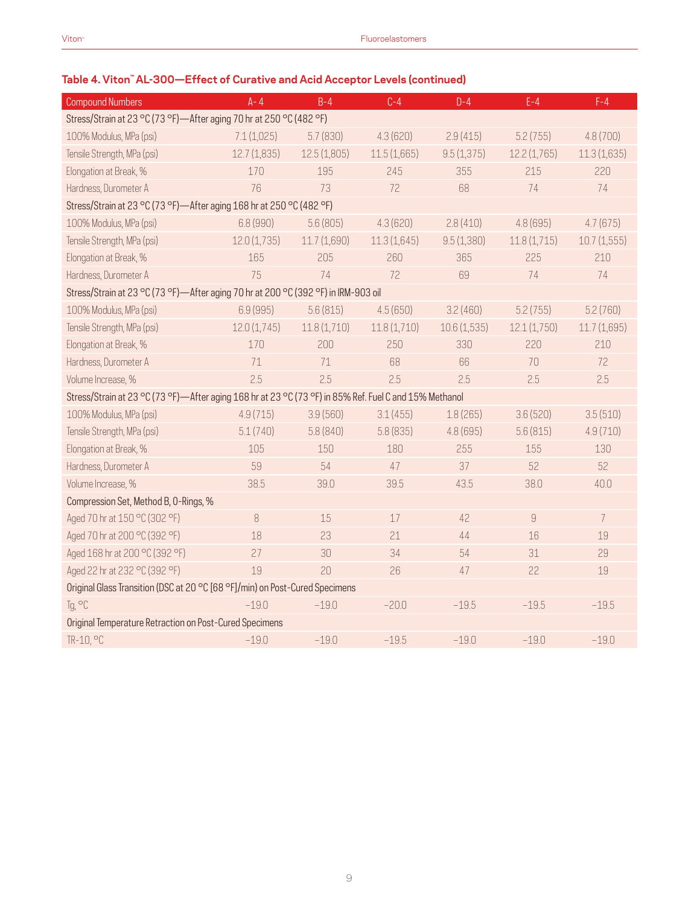## **Table 4. Viton™ AL-300—Effect of Curative and Acid Acceptor Levels (continued)**

| <b>Compound Numbers</b>                                                                                | $A - 4$     | $B-4$        | $C-4$       | $D-4$       | $E-4$          | $F-4$          |  |  |
|--------------------------------------------------------------------------------------------------------|-------------|--------------|-------------|-------------|----------------|----------------|--|--|
| Stress/Strain at 23 °C (73 °F)-After aging 70 hr at 250 °C (482 °F)                                    |             |              |             |             |                |                |  |  |
| 100% Modulus, MPa (psi)                                                                                | 7.1(1,025)  | 5.7(830)     | 4.3(620)    | 2.9(415)    | 5.2(755)       | 4.8 (700)      |  |  |
| Tensile Strength, MPa (psi)                                                                            | 12.7(1,835) | 12.5(1,805)  | 11.5(1,665) | 9.5(1,375)  | 12.2(1,765)    | 11.3(1,635)    |  |  |
| Elongation at Break, %                                                                                 | 170         | 195          | 245         | 355         | 215            | 220            |  |  |
| Hardness, Durometer A                                                                                  | 76          | 73           | 72          | 68          | 74             | 74             |  |  |
| Stress/Strain at 23 °C (73 °F)-After aging 168 hr at 250 °C (482 °F)                                   |             |              |             |             |                |                |  |  |
| 100% Modulus, MPa (psi)                                                                                | 6.8 (990)   | 5.6(805)     | 4.3(620)    | 2.8(410)    | 4.8(695)       | 4.7(675)       |  |  |
| Tensile Strength, MPa (psi)                                                                            | 12.0(1,735) | 11.7 (1,690) | 11.3(1,645) | 9.5(1,380)  | 11.8(1,715)    | 10.7(1,555)    |  |  |
| Elongation at Break, %                                                                                 | 165         | 205          | 260         | 365         | 225            | 210            |  |  |
| Hardness, Durometer A                                                                                  | 75          | 74           | 72          | 69          | 74             | 74             |  |  |
| Stress/Strain at 23 °C (73 °F)-After aging 70 hr at 200 °C (392 °F) in IRM-903 oil                     |             |              |             |             |                |                |  |  |
| 100% Modulus, MPa (psi)                                                                                | 6.9(995)    | 5.6(815)     | 4.5(650)    | 3.2(460)    | 5.2(755)       | 5.2(760)       |  |  |
| Tensile Strength, MPa (psi)                                                                            | 12.0(1,745) | 11.8(1,710)  | 11.8(1,710) | 10.6(1,535) | 12.1(1,750)    | 11.7(1,695)    |  |  |
| Elongation at Break, %                                                                                 | 170         | 200          | 250         | 330         | 220            | 210            |  |  |
| Hardness, Durometer A                                                                                  | 71          | 71           | 68          | 66          | 70             | 72             |  |  |
| Volume Increase, %                                                                                     | 2.5         | 2.5          | 2.5         | 2.5         | 2.5            | 2.5            |  |  |
| Stress/Strain at 23 °C (73 °F)-After aging 168 hr at 23 °C (73 °F) in 85% Ref. Fuel C and 15% Methanol |             |              |             |             |                |                |  |  |
| 100% Modulus, MPa (psi)                                                                                | 4.9(715)    | 3.9(560)     | 3.1(455)    | 1.8(265)    | 3.6(520)       | 3.5(510)       |  |  |
| Tensile Strength, MPa (psi)                                                                            | 5.1(740)    | 5.8 (840)    | 5.8(835)    | 4.8(695)    | 5.6(815)       | 4.9(710)       |  |  |
| Elongation at Break, %                                                                                 | 105         | 150          | 180         | 255         | 155            | 130            |  |  |
| Hardness, Durometer A                                                                                  | 59          | 54           | 47          | 37          | 52             | 52             |  |  |
| Volume Increase, %                                                                                     | 38.5        | 39.0         | 39.5        | 43.5        | 38.0           | 40.0           |  |  |
| Compression Set, Method B, O-Rings, %                                                                  |             |              |             |             |                |                |  |  |
| Aged 70 hr at 150 °C (302 °F)                                                                          | 8           | 15           | 17          | 42          | $\overline{9}$ | $\overline{7}$ |  |  |
| Aged 70 hr at 200 °C (392 °F)                                                                          | 18          | 23           | 21          | 44          | 16             | 19             |  |  |
| Aged 168 hr at 200 °C (392 °F)                                                                         | 27          | 30           | 34          | 54          | 31             | 29             |  |  |
| Aged 22 hr at 232 °C (392 °F)                                                                          | 19          | 20           | 26          | 47          | 22             | 19             |  |  |
| Original Glass Transition (DSC at 20 °C [68 °F]/min) on Post-Cured Specimens                           |             |              |             |             |                |                |  |  |
| Tg, °C                                                                                                 | $-19.0$     | $-19.0$      | $-20.0$     | $-19.5$     | $-19.5$        | $-19.5$        |  |  |
| Original Temperature Retraction on Post-Cured Specimens                                                |             |              |             |             |                |                |  |  |
| TR-10, °C                                                                                              | $-19.0$     | $-19.0$      | $-19.5$     | $-19.0$     | $-19.0$        | $-19.0$        |  |  |